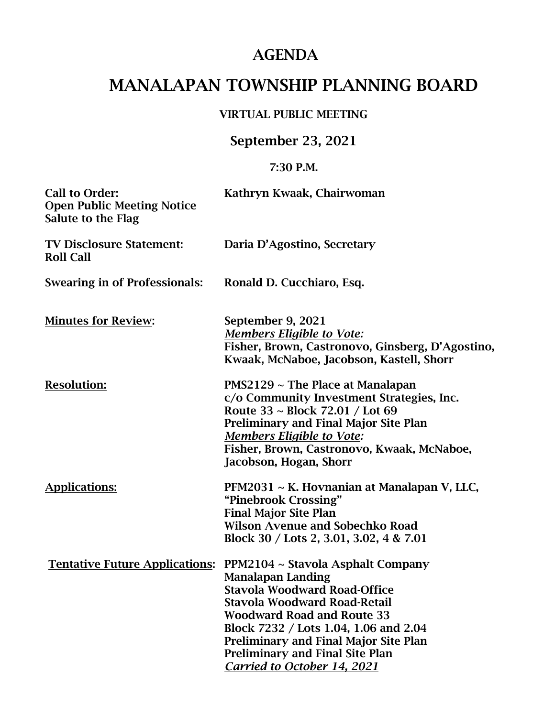## AGENDA

# MANALAPAN TOWNSHIP PLANNING BOARD

#### VIRTUAL PUBLIC MEETING

### September 23, 2021

#### 7:30 P.M.

| <b>Call to Order:</b><br><b>Open Public Meeting Notice</b><br>Salute to the Flag | Kathryn Kwaak, Chairwoman                                                                                                                                                                                                                                                                                                                                                          |
|----------------------------------------------------------------------------------|------------------------------------------------------------------------------------------------------------------------------------------------------------------------------------------------------------------------------------------------------------------------------------------------------------------------------------------------------------------------------------|
| <b>TV Disclosure Statement:</b><br><b>Roll Call</b>                              | Daria D'Agostino, Secretary                                                                                                                                                                                                                                                                                                                                                        |
| <b>Swearing in of Professionals:</b>                                             | Ronald D. Cucchiaro, Esq.                                                                                                                                                                                                                                                                                                                                                          |
| <b>Minutes for Review:</b>                                                       | September 9, 2021<br><b>Members Eligible to Vote:</b><br>Fisher, Brown, Castronovo, Ginsberg, D'Agostino,<br>Kwaak, McNaboe, Jacobson, Kastell, Shorr                                                                                                                                                                                                                              |
| <b>Resolution:</b>                                                               | $PMS2129 \sim$ The Place at Manalapan<br>c/o Community Investment Strategies, Inc.<br>Route 33 ~ Block 72.01 / Lot 69<br><b>Preliminary and Final Major Site Plan</b><br><b>Members Eligible to Vote:</b><br>Fisher, Brown, Castronovo, Kwaak, McNaboe,<br>Jacobson, Hogan, Shorr                                                                                                  |
| <b>Applications:</b>                                                             | PFM2031 ~ K. Hovnanian at Manalapan V, LLC,<br>"Pinebrook Crossing"<br><b>Final Major Site Plan</b><br><b>Wilson Avenue and Sobechko Road</b><br>Block 30 / Lots 2, 3.01, 3.02, 4 & 7.01                                                                                                                                                                                           |
|                                                                                  | <u> Tentative Future Applications:</u> PPM2104 ~ Stavola Asphalt Company<br><b>Manalapan Landing</b><br><b>Stavola Woodward Road-Office</b><br>Stavola Woodward Road-Retail<br><b>Woodward Road and Route 33</b><br>Block 7232 / Lots 1.04, 1.06 and 2.04<br><b>Preliminary and Final Major Site Plan</b><br><b>Preliminary and Final Site Plan</b><br>Carried to October 14, 2021 |